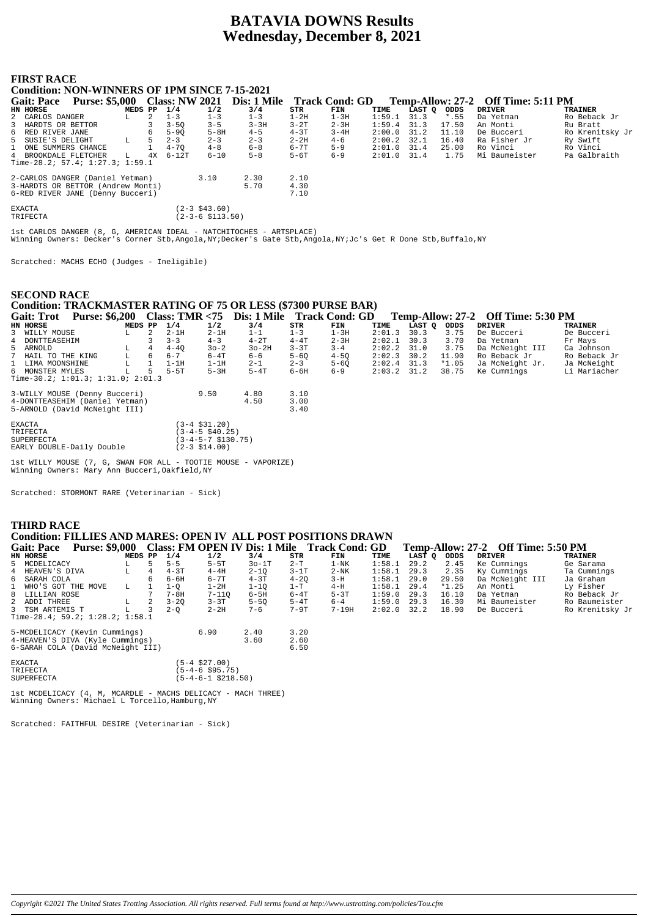# **BATAVIA DOWNS Results Wednesday, December 8, 2021**

| <b>FIRST RACE</b><br><b>Condition: NON-WINNERS OF 1PM SINCE 7-15-2021</b> |                       |    |                       |                      |             |          |                       |               |             |         |                                    |                 |
|---------------------------------------------------------------------------|-----------------------|----|-----------------------|----------------------|-------------|----------|-----------------------|---------------|-------------|---------|------------------------------------|-----------------|
| <b>Gait: Pace</b>                                                         | <b>Purse: \$5,000</b> |    | <b>Class: NW 2021</b> |                      | Dis: 1 Mile |          | <b>Track Cond: GD</b> |               |             |         | Temp-Allow: 27-2 Off Time: 5:11 PM |                 |
| HN HORSE                                                                  | MEDS PP 1/4           |    |                       | 1/2                  | 3/4         | STR      | FIN                   | TIME          | LAST Q ODDS |         | <b>DRIVER</b>                      | <b>TRAINER</b>  |
| 2 CARLOS DANGER                                                           |                       |    | $1 - 3$               | $1 - 3$              | $1 - 3$     | $1-2H$   | $1-3H$                | $1:59.1$ 31.3 |             | $*$ .55 | Da Yetman                          | Ro Beback Jr    |
| 3 HARDTS OR BETTOR                                                        |                       |    | $3 - 50$              | $3 - 5$              | $3 - 3H$    | $3 - 2T$ | $2 - 3H$              | 1:59.4        | 31.3        | 17.50   | An Monti                           | Ru Bratt        |
| 6 RED RIVER JANE                                                          |                       |    | $5 - 90$              | $5-8H$               | $4 - 5$     | $4 - 3T$ | $3 - 4H$              | $2:00.0$ 31.2 |             | 11.10   | De Bucceri                         | Ro Krenitsky Jr |
| 5 SUSIE'S DELIGHT                                                         | L                     |    | $2 - 3$               | $2 - 3$              | $2 - 3$     | $2 - 2H$ | $4 - 6$               | $2:00.2$ 32.1 |             | 16.40   | Ra Fisher Jr                       | Ry Swift        |
| 1 ONE SUMMERS CHANCE                                                      |                       |    | $4 - 70$              | $4 - 8$              | $6 - 8$     | $6 - 7T$ | $5 - 9$               | $2:01.0$ 31.4 |             | 25.00   | Ro Vinci                           | Ro Vinci        |
| 4 BROOKDALE FLETCHER                                                      | L.                    | 4x | $6 - 12T$             | $6 - 10$             | $5 - 8$     | $5 - 6T$ | $6 - 9$               | $2:01.0$ 31.4 |             | 1.75    | Mi Baumeister                      | Pa Galbraith    |
| Time-28.2; 57.4; $1:27.3$ ; $1:59.1$                                      |                       |    |                       |                      |             |          |                       |               |             |         |                                    |                 |
| 2-CARLOS DANGER (Daniel Yetman)                                           |                       |    |                       | 3.10                 | 2.30        | 2.10     |                       |               |             |         |                                    |                 |
| 3-HARDTS OR BETTOR (Andrew Monti)                                         |                       |    |                       |                      | 5.70        | 4.30     |                       |               |             |         |                                    |                 |
| 6-RED RIVER JANE (Denny Bucceri)                                          |                       |    |                       |                      |             | 7.10     |                       |               |             |         |                                    |                 |
| <b>EXACTA</b>                                                             |                       |    |                       | $(2-3 \; $43.60)$    |             |          |                       |               |             |         |                                    |                 |
| TRIFECTA                                                                  |                       |    |                       | $(2-3-6 \; $113.50)$ |             |          |                       |               |             |         |                                    |                 |
|                                                                           |                       |    |                       |                      |             |          |                       |               |             |         |                                    |                 |

1st CARLOS DANGER (8, G, AMERICAN IDEAL - NATCHITOCHES - ARTSPLACE) Winning Owners: Decker's Corner Stb,Angola,NY;Decker's Gate Stb,Angola,NY;Jc's Get R Done Stb,Buffalo,NY

Scratched: MACHS ECHO (Judges - Ineligible)

## **SECOND RACE**

# **Condition: TRACKMASTER RATING OF 75 OR LESS (\$7300 PURSE BAR)**

**Gait: Trot Purse: \$6,200 Class: TMR <75 Dis: 1 Mile Track Cond: GD Temp-Allow: 27-2 Off Time: 5:30 PM**

| HN HORSE                                  | MEDS PP |    | 1/4      | 1/2      | 3/4       | STR      | FIN      | TIME            | LAST O | ODDS    | DRIVER          | <b>TRAINER</b> |
|-------------------------------------------|---------|----|----------|----------|-----------|----------|----------|-----------------|--------|---------|-----------------|----------------|
| 3 WILLY MOUSE                             | ш.      |    | $2-1H$   | $2-1H$   | $1 - 1$   | $1 - 3$  | $1-3H$   | 2:01.3          | 30.3   | 3.75    | De Bucceri      | De Bucceri     |
| 4 DONTTEASEHIM                            |         |    | $3 - 3$  | $4 - 3$  | $4-2T$    | $4-4T$   | $2 - 3H$ | $2:02.1$ 30.3   |        | 3.70    | Da Yetman       | Fr Mays        |
| 5 ARNOLD                                  |         |    | $4 - 40$ | $30 - 2$ | $30 - 2H$ | $3 - 3T$ | $3 - 4$  | $2:02.2$ $31.0$ |        | 3.75    | Da McNeight III | Ca Johnson     |
| 7 HAIL TO THE KING                        |         | 6  | $6 - 7$  | $6-4T$   | $6 - 6$   | $5 - 60$ | $4 - 50$ | $2:02.3$ 30.2   |        | 11.90   | Ro Beback Jr    | Ro Beback Jr   |
| 1 LIMA MOONSHINE                          |         |    | $1-1H$   | 1-1H     | $2 - 1$   | $2 - 3$  | $5 - 60$ | $2:02.4$ 31.3   |        | $*1.05$ | Ja McNeight Jr. | Ja McNeight    |
| 6 MONSTER MYLES                           |         | ъ. | $5 - 5T$ | $5-3H$   | $5-4T$    | $6 - 6H$ | $6 - 9$  | $2:03.2$ $31.2$ |        | 38.75   | Ke Cummings     | Li Mariacher   |
| Time-30.2; $1:01.3$ ; $1:31.0$ ; $2:01.3$ |         |    |          |          |           |          |          |                 |        |         |                 |                |

| 3-WILLY MOUSE (Denny Bucceri)<br>4-DONTTEASEHIM (Daniel Yetman)<br>5-ARNOLD (David McNeight III) | 9.50                                                                                      | 4.80<br>4.50 | 3.10<br>3.00<br>3.40 |
|--------------------------------------------------------------------------------------------------|-------------------------------------------------------------------------------------------|--------------|----------------------|
| <b>EXACTA</b><br>TRIFECTA<br><b>SUPERFECTA</b><br>EARLY DOUBLE-Daily Double                      | $(3-4 \; $31.20)$<br>$(3-4-5 \ $40.25)$<br>$(3-4-5-7 \text{ }5130.75)$<br>$(2-3$ \$14.00) |              |                      |

1st WILLY MOUSE (7, G, SWAN FOR ALL - TOOTIE MOUSE - VAPORIZE) Winning Owners: Mary Ann Bucceri, Oakfield, NY

Scratched: STORMONT RARE (Veterinarian - Sick)

## **THIRD RACE Condition: FILLIES AND MARES: OPEN IV ALL POST POSITIONS DRAWN** Gait: Pace Purse: \$9,000 Class: FM OPEN IV Dis: 1 Mile Track Cond: GD Temp-Allow: 27-2 Off Time: 5:50 PM<br>EN HORSE DRIVER TRAINER TRAINER **Gait: Pace Purse: \$9,000 Class: FM OPEN IV Dis: 1 Mile Track Cond: GD Temp-Allow: 27-2 Off Time: 5:50 PM<br>
HN HORSE TRAINER LAST Q ODDS DRIVER TRAINER TRAINER IS MCDELICACY<br>
5 MCDELICACY L \begin{array}{cccccccccc} 5 & 5-5 & 5+57 & 3/4 & STR &** 5 MCDELICACY L 5 5-5 5-5T 3o-1T 2-T 1-NK 1:58.1 29.2 2.45 Ke Cummings Ge Sarama 4 HEAVEN'S DIVA L 4 4-3T 4-4H 2-1Q 3-1T 2-NK 1:58.1 29.3 2.35 Ky Cummings Ta Cummings 6 SARAH COLA 6 6-6H 6-7T 4-3T 4-2Q 3-H 1:58.1 29.0 29.50 Da McNeight III Ja Graham 1 WHO'S GOT THE MOVE L 1 1-Q 1-2H 1-1Q 1-T 4-H 1:58.1 29.4 \*1.25<br>
8 LILLIAN ROSE 7 7-8H 7-11Q 6-5H 6-4T 5-3T 1:59.0 29.3 16.10<br>
2 ADDI THREE L 2 3-2Q 3-3T 5-5Q 5-4T 6-4 1:59.0 29.3 16.30 8 LILLIAN ROSE 7 7-8H 7-11Q 6-5H 6-4T 5-3T 1:59.0 29.3 16.10 Da Yetman Ro Beback Jr 2 ADDI THREE L 2 3-2Q 3-3T 5-5Q 5-4T 6-4 1:59.0 29.3 16.30 Mi Baumeister Ro Baumeister 3 TSM ARTEMIS T L 3 2-Q 2-2H 7-6 7-9T 7-19H 2:02.0 32.2 18.90 De Bucceri Ro Krenitsky Jr Time-28.4; 59.2; 1:28.2; 1:58.1 5-MCDELICACY (Kevin Cummings) 6.90 2.40 3.20 1-HEAVEN'S DIVA (Kyle Cummings)<br>4-HEAVEN'S DIVA (Kyle Cummings) 3.60 2.60<br>6-SARAH COLA (David McNeight III) 6.50 6-SARAH COLA (David McNeight III) 6.50 EXACTA (5-4 \$27.00) TRIFECTA (5-4-6 \$95.75) SUPERFECTA (5-4-6-1 \$218.50)

1st MCDELICACY (4, M, MCARDLE - MACHS DELICACY - MACH THREE) Winning Owners: Michael L Torcello,Hamburg,NY

Scratched: FAITHFUL DESIRE (Veterinarian - Sick)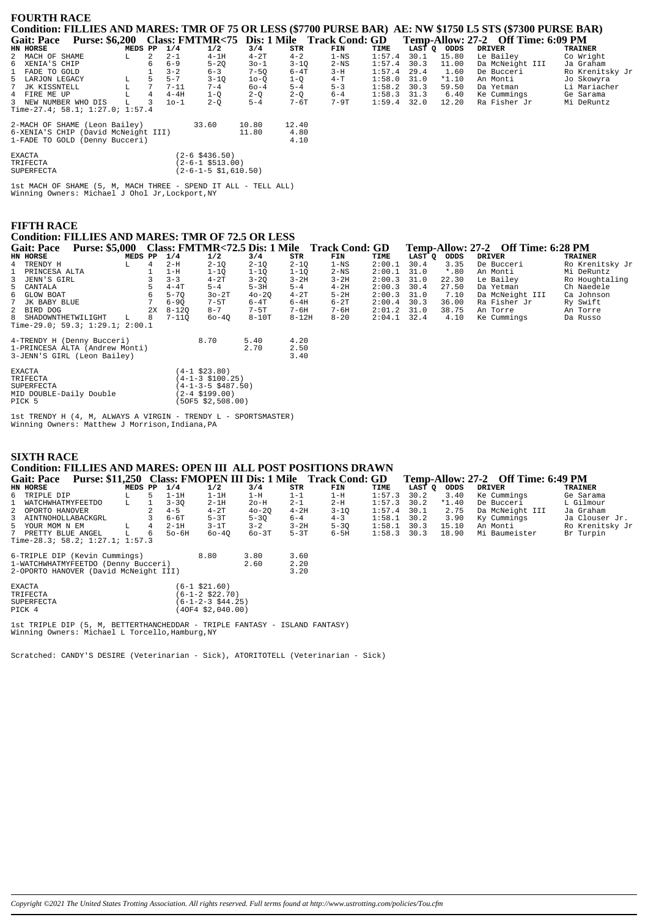| <b>FOURTH RACE</b>   |                                     |         |                |          |                      |          |          |                                            |        |        |         | Condition: FILLIES AND MARES: TMR OF 75 OR LESS (\$7700 PURSE BAR) AE: NW \$1750 L5 STS (\$7300 PURSE BAR) |                 |
|----------------------|-------------------------------------|---------|----------------|----------|----------------------|----------|----------|--------------------------------------------|--------|--------|---------|------------------------------------------------------------------------------------------------------------|-----------------|
| <b>Gait: Pace</b>    | <b>Purse: \$6,200</b>               |         |                |          |                      |          |          | Class: FMTMR<75 Dis: 1 Mile Track Cond: GD |        |        |         | Temp-Allow: 27-2 Off Time: 6:09 PM                                                                         |                 |
| HN HORSE             |                                     | MEDS PP |                | 1/4      | 1/2                  | 3/4      | STR      | FIN                                        | TIME   | LAST O | ODDS    | <b>DRIVER</b>                                                                                              | <b>TRAINER</b>  |
| 2 MACH OF SHAME      |                                     | L       | 2              | $2 - 1$  | $4-1H$               | $4-2T$   | $4 - 2$  | $1 - NS$                                   | 1:57.4 | 30.1   | 15.80   | Le Bailey                                                                                                  | Co Wright       |
| 6 XENIA'S CHIP       |                                     |         |                | $6 - 9$  | $5 - 20$             | $30 - 1$ | $3 - 10$ | $2-NS$                                     | 1:57.4 | 30.3   | 11.00   | Da McNeight III                                                                                            | Ja Graham       |
| 1 FADE TO GOLD       |                                     |         |                | $3 - 2$  | $6 - 3$              | $7-5Q$   | $6 - 4T$ | $3-H$                                      | 1:57.4 | 29.4   | 1.60    | De Bucceri                                                                                                 | Ro Krenitsky Jr |
| 5 LARJON LEGACY      |                                     |         |                | $5 - 7$  | $3 - 10$             | $10-0$   | $1-Q$    | $4-T$                                      | 1:58.0 | 31.0   | $*1.10$ | An Monti                                                                                                   | Jo Skowyra      |
| 7 JK KISSNTELL       |                                     |         | 7              | $7 - 11$ | $7 - 4$              | $60 - 4$ | $5 - 4$  | $5 - 3$                                    | 1:58.2 | 30.3   | 59.50   | Da Yetman                                                                                                  | Li Mariacher    |
| 4 FIRE ME UP         |                                     |         | $\overline{4}$ | $4-4H$   | $1-Q$                | $2-Q$    | $2-Q$    | $6 - 4$                                    | 1:58.3 | 31.3   | 6.40    | Ke Cummings                                                                                                | Ge Sarama       |
| 3 NEW NUMBER WHO DIS |                                     | L       |                | $10-1$   | $2 - 0$              | $5 - 4$  | $7 - 6T$ | $7-9T$                                     | 1:59.4 | 32.0   | 12.20   | Ra Fisher Jr                                                                                               | Mi DeRuntz      |
|                      | Time-27.4; 58.1; 1:27.0; 1:57.4     |         |                |          |                      |          |          |                                            |        |        |         |                                                                                                            |                 |
|                      | 2-MACH OF SHAME (Leon Bailey)       |         |                |          | 33.60                | 10.80    | 12.40    |                                            |        |        |         |                                                                                                            |                 |
|                      | 6-XENIA'S CHIP (David McNeight III) |         |                |          |                      | 11.80    | 4.80     |                                            |        |        |         |                                                                                                            |                 |
|                      | 1-FADE TO GOLD (Denny Bucceri)      |         |                |          |                      |          | 4.10     |                                            |        |        |         |                                                                                                            |                 |
| <b>EXACTA</b>        |                                     |         |                |          | (2-6 \$436.50)       |          |          |                                            |        |        |         |                                                                                                            |                 |
| TRIFECTA             |                                     |         |                |          | (2-6-1 \$513.00)     |          |          |                                            |        |        |         |                                                                                                            |                 |
| <b>SUPERFECTA</b>    |                                     |         |                |          | (2-6-1-5 \$1,610.50) |          |          |                                            |        |        |         |                                                                                                            |                 |

 $1st$  MACH OF SHAME  $(5,~M,$  MACH THREE - SPEND IT ALL - TELL ALL) Winning Owners: Michael J Ohol Jr, Lockport, NY

# **FIFTH RACE**

# **Condition: FILLIES AND MARES: TMR OF 72.5 OR LESS**

| <b>Gait: Pace</b>               | <b>Purse: \$5,000</b> |         |    |           |                             |           |           | Class: FMTMR<72.5 Dis: 1 Mile Track Cond: GD |        |        |         | Temp-Allow: 27-2 Off Time: 6:28 PM |                 |
|---------------------------------|-----------------------|---------|----|-----------|-----------------------------|-----------|-----------|----------------------------------------------|--------|--------|---------|------------------------------------|-----------------|
| HN HORSE                        |                       | MEDS PP |    | 1/4       | 1/2                         | 3/4       | STR       | FIN                                          | TIME   | LAST Q | ODDS    | <b>DRIVER</b>                      | <b>TRAINER</b>  |
| TRENDY H<br>4                   |                       | L       |    | $2-H$     | $2 - 10$                    | $2 - 10$  | $2 - 10$  | $1 - NS$                                     | 2:00.1 | 30.4   | 3.35    | De Bucceri                         | Ro Krenitsky Jr |
| PRINCESA ALTA                   |                       |         |    | $1-H$     | $1 - 1Q$                    | $1 - 10$  | $1 - 1Q$  | $2-NS$                                       | 2:00.1 | 31.0   | $*$ .80 | An Monti                           | Mi DeRuntz      |
| JENN'S GIRL<br>3.               |                       |         |    | $3 - 3$   | $4-2T$                      | $3 - 20$  | $3 - 2H$  | $3-2H$                                       | 2:00.3 | 31.0   | 22.30   | Le Bailey                          | Ro Houghtaling  |
| CANTALA<br>5.                   |                       |         |    | $4 - 4T$  | $5 - 4$                     | $5-3H$    | $5 - 4$   | $4-2H$                                       | 2:00.3 | 30.4   | 27.50   | Da Yetman                          | Ch Naedele      |
| GLOW BOAT<br>6                  |                       |         |    | $5 - 70$  | $30-2T$                     | $40 - 20$ | $4-2T$    | $5-2H$                                       | 2:00.3 | 31.0   | 7.10    | Da McNeight III                    | Ca Johnson      |
| 7 JK BABY BLUE                  |                       |         |    | $6 - 90$  | $7 - 5T$                    | 6-4T      | $6-4H$    | $6-2T$                                       | 2:00.4 | 30.3   | 36.00   | Ra Fisher Jr                       | Ry Swift        |
| BIRD DOG<br>2                   |                       |         | 2X | $8 - 120$ | $8 - 7$                     | $7-5T$    | $7 - 6H$  | $7 - 6H$                                     | 2:01.2 | 31.0   | 38.75   | An Torre                           | An Torre        |
| 8<br>SHADOWNTHETWILIGHT         |                       | L.      | 8  | $7 - 110$ | $60 - 40$                   | $8-10T$   | $8 - 12H$ | $8 - 20$                                     | 2:04.1 | 32.4   | 4.10    | Ke Cummings                        | Da Russo        |
| Time-29.0; 59.3; 1:29.1; 2:00.1 |                       |         |    |           |                             |           |           |                                              |        |        |         |                                    |                 |
| 4-TRENDY H (Denny Bucceri)      |                       |         |    |           | 8.70                        | 5.40      | 4.20      |                                              |        |        |         |                                    |                 |
| 1-PRINCESA ALTA (Andrew Monti)  |                       |         |    |           |                             | 2.70      | 2.50      |                                              |        |        |         |                                    |                 |
| 3-JENN'S GIRL (Leon Bailey)     |                       |         |    |           |                             |           | 3.40      |                                              |        |        |         |                                    |                 |
| <b>EXACTA</b>                   |                       |         |    |           | $(4-1$ \$23.80)             |           |           |                                              |        |        |         |                                    |                 |
| TRIFECTA                        |                       |         |    |           | $(4-1-3 \; \text{$100.25)}$ |           |           |                                              |        |        |         |                                    |                 |
| SUPERFECTA                      |                       |         |    |           | $(4-1-3-5 \ $487.50)$       |           |           |                                              |        |        |         |                                    |                 |
| MID DOUBLE-Daily Double         |                       |         |    |           | $(2-4 \; \text{S}199.00)$   |           |           |                                              |        |        |         |                                    |                 |
| PICK 5                          |                       |         |    |           | (50F5 \$2,508.00)           |           |           |                                              |        |        |         |                                    |                 |

lst TRENDY H (4, M, ALWAYS A VIRGIN - TRENDY L - SPORTSMASTER)<br>Winning Owners: Matthew J Morrison, Indiana, PA

# **SIXTH RACE**

# **Condition: FILLIES AND MARES: OPEN III ALL POST POSITIONS DRAWN**

| <b>Gait: Pace</b>                    |         |       |          |           |           |         | Purse: \$11,250 Class: FMOPEN III Dis: 1 Mile Track Cond: GD |               |             |         |        | Temp-Allow: 27-2 Off Time: 6:49 PM |                 |
|--------------------------------------|---------|-------|----------|-----------|-----------|---------|--------------------------------------------------------------|---------------|-------------|---------|--------|------------------------------------|-----------------|
| HN HORSE                             | MEDS PP |       | 1/4      | 1/2       | 3/4       | STR     | FIN                                                          | TIME          | LAST O ODDS |         | DRIVER |                                    | TRAINER         |
| 6 TRIPLE DIP                         |         | $5 -$ | $1-1H$   | $1-1H$    | $1-H$     | $1 - 1$ | 1-H                                                          | $1:57.3$ 30.2 |             | 3.40    |        | Ke Cummings                        | Ge Sarama       |
| 1 WATCHWHATMYFEETDO                  |         |       | $3 - 30$ | $2 - 1$ H | $2o-H$    | $2 - 1$ | $2-H$                                                        | $1:57.3$ 30.2 |             | $*1.40$ |        | De Bucceri                         | L Gilmour       |
| 2 OPORTO HANOVER                     |         | 2     | $4 - 5$  | $4-2T$    | $40 - 20$ | $4-2H$  | $3 - 10$                                                     | $1:57.4$ 30.1 |             | 2.75    |        | Da McNeight III                    | Ja Graham       |
| 3 AINTNOHOLLABACKGRL                 |         | 3.    | $6-6T$   | $5-3T$    | $5 - 30$  | $6 - 4$ | $4 - 3$                                                      | $1:58.1$ 30.2 |             | 3.90    |        | Kv Cummings                        | Ja Clouser Jr.  |
| 5 YOUR MOM N EM                      |         | 4     | $2-1H$   | $3-1T$    | $3 - 2$   | $3-2H$  | $5 - 30$                                                     | $1:58.1$ 30.3 |             | 15.10   |        | An Monti                           | Ro Krenitsky Jr |
| 7 PRETTY BLUE ANGEL                  | L.      | -6    | $50-6H$  | $60 - 40$ | 60-3T     | $5-3T$  | 6-5H                                                         | $1:58.3$ 30.3 |             | 18.90   |        | Mi Baumeister                      | Br Turpin       |
| Time-28.3; 58.2; $1:27.1$ ; $1:57.3$ |         |       |          |           |           |         |                                                              |               |             |         |        |                                    |                 |

| 6-TRIPLE DIP (Kevin Cummings)<br>1-WATCHWHATMYFEETDO (Denny Bucceri)<br>2-OPORTO HANOVER (David McNeight III) | 8.80                                 | 3.80<br>2.60 | 3.60<br>2.20<br>3.20 |
|---------------------------------------------------------------------------------------------------------------|--------------------------------------|--------------|----------------------|
| <b>EXACTA</b><br>TRIFECTA                                                                                     | $(6-1$ \$21.60)<br>$(6-1-2$ \$22.70) |              |                      |
| <b>CIIDFPFFCTA</b>                                                                                            | $(6 - 1 - 2 - 3 644 25)$             |              |                      |

| SUPERFECTA | $(6-1-2-3 \ $44.25)$          |
|------------|-------------------------------|
| PICK 4     | $(40F4 \, \text{S2}, 040.00)$ |
|            |                               |

1st TRIPLE DIP (5, M, BETTERTHANCHEDDAR - TRIPLE FANTASY - ISLAND FANTASY)<br>Winning Owners: Michael L Torcello, Hamburg, NY

Scratched: CANDY'S DESIRE (Veterinarian - Sick), ATORITOTELL (Veterinarian - Sick)